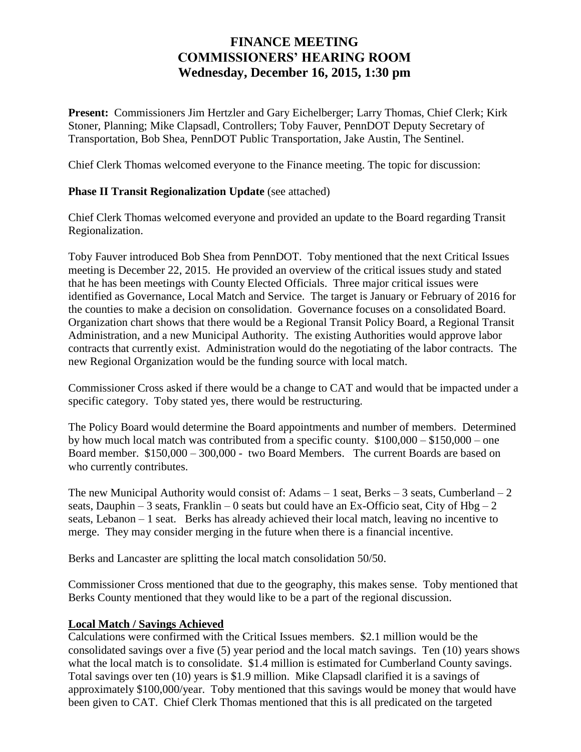## **FINANCE MEETING COMMISSIONERS' HEARING ROOM Wednesday, December 16, 2015, 1:30 pm**

**Present:** Commissioners Jim Hertzler and Gary Eichelberger; Larry Thomas, Chief Clerk; Kirk Stoner, Planning; Mike Clapsadl, Controllers; Toby Fauver, PennDOT Deputy Secretary of Transportation, Bob Shea, PennDOT Public Transportation, Jake Austin, The Sentinel.

Chief Clerk Thomas welcomed everyone to the Finance meeting. The topic for discussion:

## **Phase II Transit Regionalization Update** (see attached)

Chief Clerk Thomas welcomed everyone and provided an update to the Board regarding Transit Regionalization.

Toby Fauver introduced Bob Shea from PennDOT. Toby mentioned that the next Critical Issues meeting is December 22, 2015. He provided an overview of the critical issues study and stated that he has been meetings with County Elected Officials. Three major critical issues were identified as Governance, Local Match and Service. The target is January or February of 2016 for the counties to make a decision on consolidation. Governance focuses on a consolidated Board. Organization chart shows that there would be a Regional Transit Policy Board, a Regional Transit Administration, and a new Municipal Authority. The existing Authorities would approve labor contracts that currently exist. Administration would do the negotiating of the labor contracts. The new Regional Organization would be the funding source with local match.

Commissioner Cross asked if there would be a change to CAT and would that be impacted under a specific category. Toby stated yes, there would be restructuring.

The Policy Board would determine the Board appointments and number of members. Determined by how much local match was contributed from a specific county.  $$100,000 - $150,000 -$  one Board member. \$150,000 – 300,000 - two Board Members. The current Boards are based on who currently contributes.

The new Municipal Authority would consist of: Adams  $-1$  seat, Berks  $-3$  seats, Cumberland  $-2$ seats, Dauphin – 3 seats, Franklin – 0 seats but could have an Ex-Officio seat, City of  $Hbg - 2$ seats, Lebanon – 1 seat. Berks has already achieved their local match, leaving no incentive to merge. They may consider merging in the future when there is a financial incentive.

Berks and Lancaster are splitting the local match consolidation 50/50.

Commissioner Cross mentioned that due to the geography, this makes sense. Toby mentioned that Berks County mentioned that they would like to be a part of the regional discussion.

## **Local Match / Savings Achieved**

Calculations were confirmed with the Critical Issues members. \$2.1 million would be the consolidated savings over a five (5) year period and the local match savings. Ten (10) years shows what the local match is to consolidate. \$1.4 million is estimated for Cumberland County savings. Total savings over ten (10) years is \$1.9 million. Mike Clapsadl clarified it is a savings of approximately \$100,000/year. Toby mentioned that this savings would be money that would have been given to CAT. Chief Clerk Thomas mentioned that this is all predicated on the targeted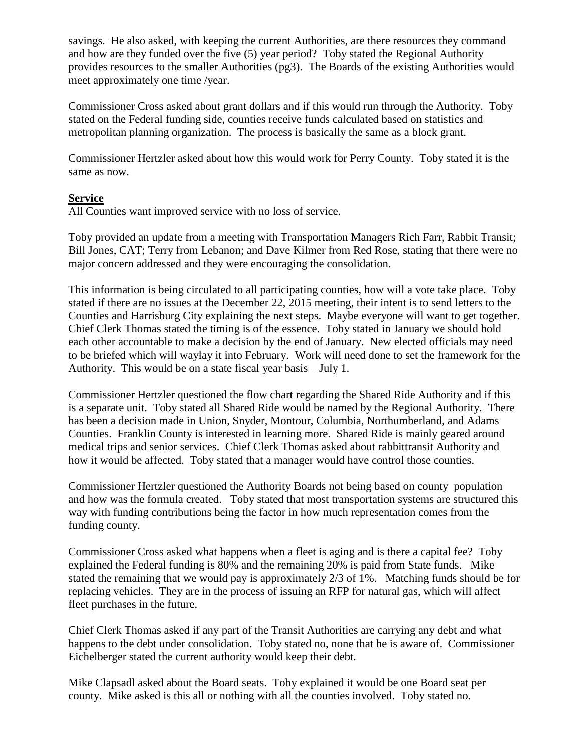savings. He also asked, with keeping the current Authorities, are there resources they command and how are they funded over the five (5) year period? Toby stated the Regional Authority provides resources to the smaller Authorities (pg3). The Boards of the existing Authorities would meet approximately one time /year.

Commissioner Cross asked about grant dollars and if this would run through the Authority. Toby stated on the Federal funding side, counties receive funds calculated based on statistics and metropolitan planning organization. The process is basically the same as a block grant.

Commissioner Hertzler asked about how this would work for Perry County. Toby stated it is the same as now.

## **Service**

All Counties want improved service with no loss of service.

Toby provided an update from a meeting with Transportation Managers Rich Farr, Rabbit Transit; Bill Jones, CAT; Terry from Lebanon; and Dave Kilmer from Red Rose, stating that there were no major concern addressed and they were encouraging the consolidation.

This information is being circulated to all participating counties, how will a vote take place. Toby stated if there are no issues at the December 22, 2015 meeting, their intent is to send letters to the Counties and Harrisburg City explaining the next steps. Maybe everyone will want to get together. Chief Clerk Thomas stated the timing is of the essence. Toby stated in January we should hold each other accountable to make a decision by the end of January. New elected officials may need to be briefed which will waylay it into February. Work will need done to set the framework for the Authority. This would be on a state fiscal year basis – July 1.

Commissioner Hertzler questioned the flow chart regarding the Shared Ride Authority and if this is a separate unit. Toby stated all Shared Ride would be named by the Regional Authority. There has been a decision made in Union, Snyder, Montour, Columbia, Northumberland, and Adams Counties. Franklin County is interested in learning more. Shared Ride is mainly geared around medical trips and senior services. Chief Clerk Thomas asked about rabbittransit Authority and how it would be affected. Toby stated that a manager would have control those counties.

Commissioner Hertzler questioned the Authority Boards not being based on county population and how was the formula created. Toby stated that most transportation systems are structured this way with funding contributions being the factor in how much representation comes from the funding county.

Commissioner Cross asked what happens when a fleet is aging and is there a capital fee? Toby explained the Federal funding is 80% and the remaining 20% is paid from State funds. Mike stated the remaining that we would pay is approximately 2/3 of 1%. Matching funds should be for replacing vehicles. They are in the process of issuing an RFP for natural gas, which will affect fleet purchases in the future.

Chief Clerk Thomas asked if any part of the Transit Authorities are carrying any debt and what happens to the debt under consolidation. Toby stated no, none that he is aware of. Commissioner Eichelberger stated the current authority would keep their debt.

Mike Clapsadl asked about the Board seats. Toby explained it would be one Board seat per county. Mike asked is this all or nothing with all the counties involved. Toby stated no.